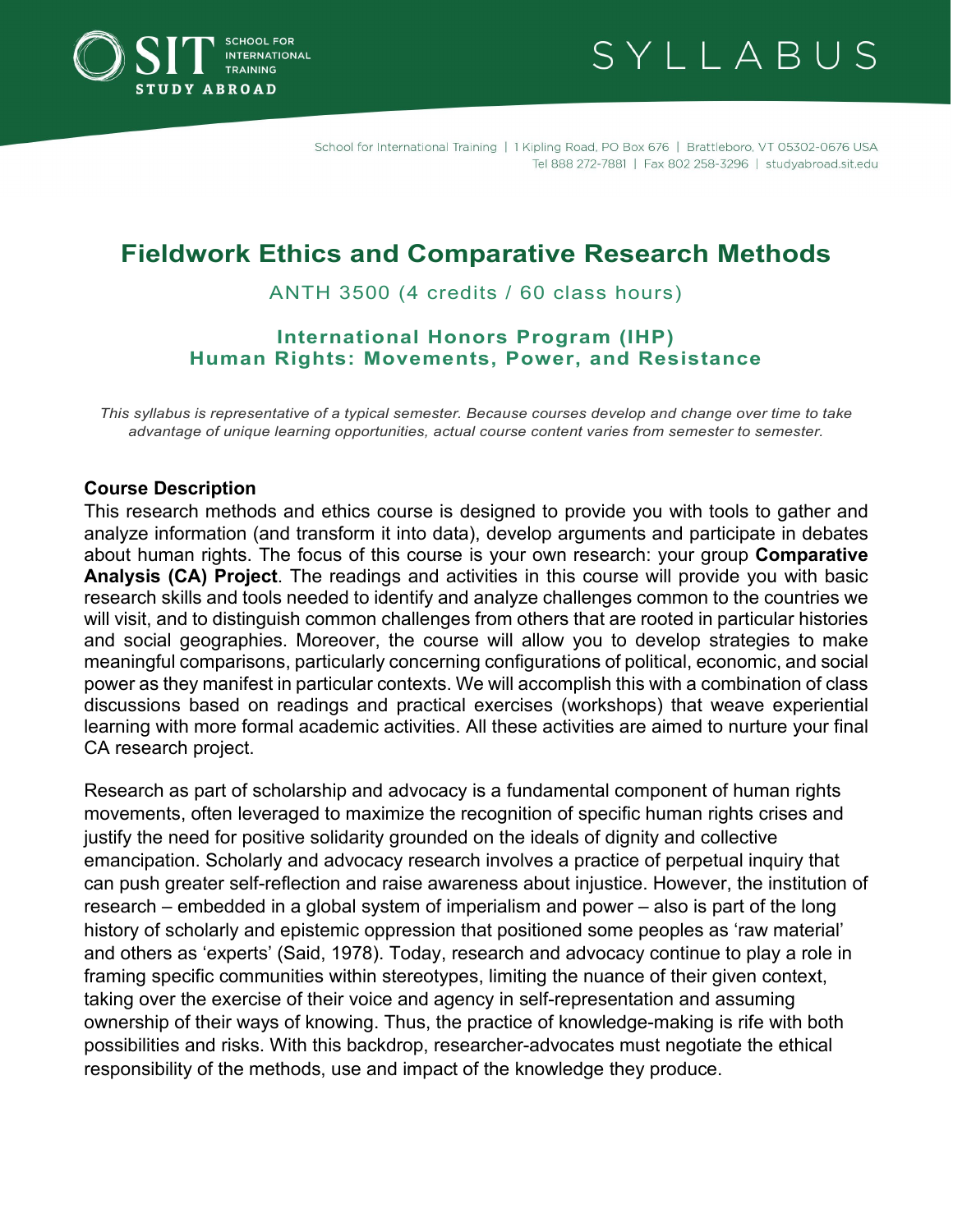

SYLLABUS

# **Fieldwork Ethics and Comparative Research Methods**

ANTH 3500 (4 credits / 60 class hours)

### **International Honors Program (IHP) Human Rights: Movements, Power, and Resistance**

*This syllabus is representative of a typical semester. Because courses develop and change over time to take advantage of unique learning opportunities, actual course content varies from semester to semester.*

#### **Course Description**

This research methods and ethics course is designed to provide you with tools to gather and analyze information (and transform it into data), develop arguments and participate in debates about human rights. The focus of this course is your own research: your group **Comparative Analysis (CA) Project**. The readings and activities in this course will provide you with basic research skills and tools needed to identify and analyze challenges common to the countries we will visit, and to distinguish common challenges from others that are rooted in particular histories and social geographies. Moreover, the course will allow you to develop strategies to make meaningful comparisons, particularly concerning configurations of political, economic, and social power as they manifest in particular contexts. We will accomplish this with a combination of class discussions based on readings and practical exercises (workshops) that weave experiential learning with more formal academic activities. All these activities are aimed to nurture your final CA research project.

Research as part of scholarship and advocacy is a fundamental component of human rights movements, often leveraged to maximize the recognition of specific human rights crises and justify the need for positive solidarity grounded on the ideals of dignity and collective emancipation. Scholarly and advocacy research involves a practice of perpetual inquiry that can push greater self-reflection and raise awareness about injustice. However, the institution of research – embedded in a global system of imperialism and power – also is part of the long history of scholarly and epistemic oppression that positioned some peoples as 'raw material' and others as 'experts' (Said, 1978). Today, research and advocacy continue to play a role in framing specific communities within stereotypes, limiting the nuance of their given context, taking over the exercise of their voice and agency in self-representation and assuming ownership of their ways of knowing. Thus, the practice of knowledge-making is rife with both possibilities and risks. With this backdrop, researcher-advocates must negotiate the ethical responsibility of the methods, use and impact of the knowledge they produce.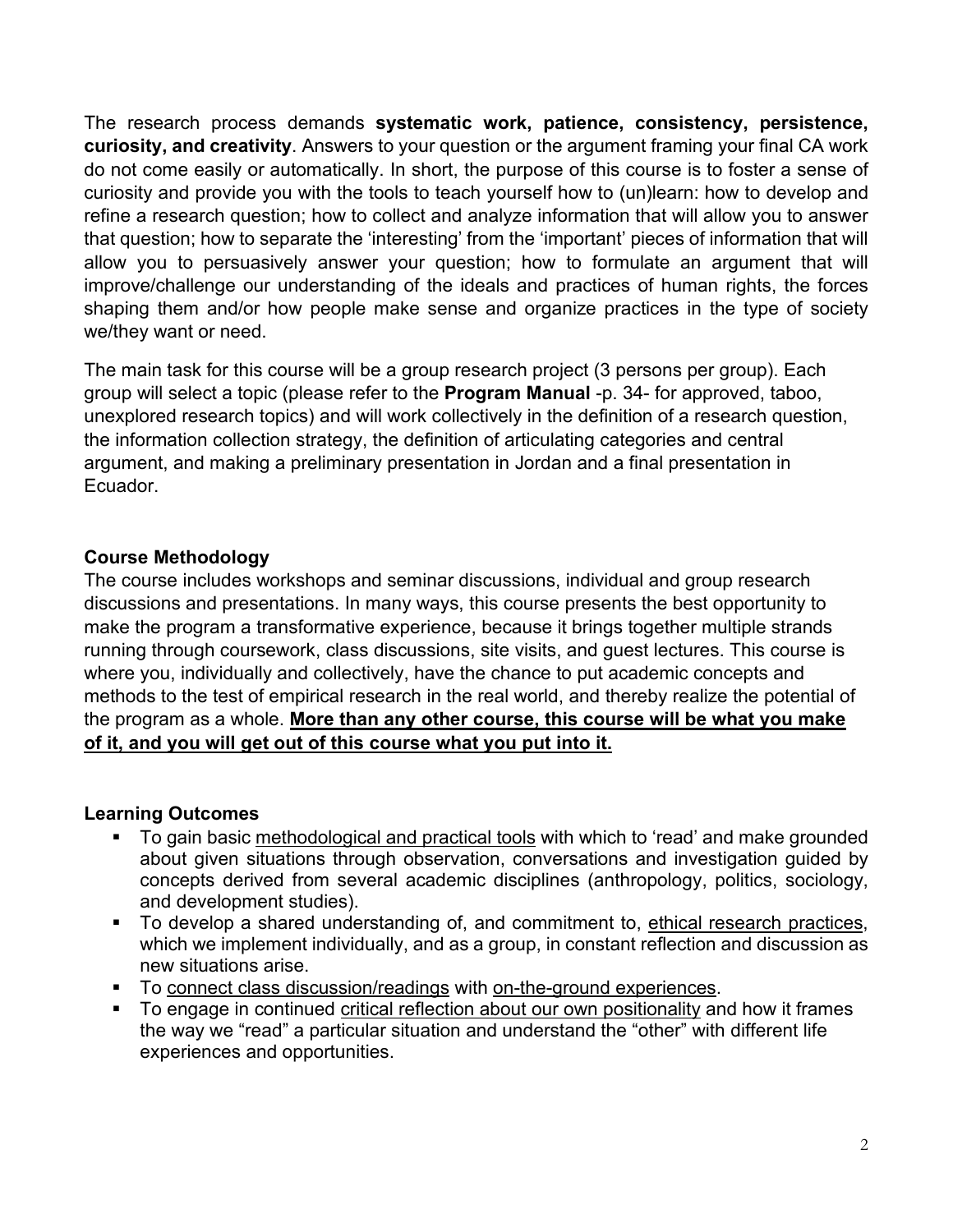The research process demands **systematic work, patience, consistency, persistence, curiosity, and creativity**. Answers to your question or the argument framing your final CA work do not come easily or automatically. In short, the purpose of this course is to foster a sense of curiosity and provide you with the tools to teach yourself how to (un)learn: how to develop and refine a research question; how to collect and analyze information that will allow you to answer that question; how to separate the 'interesting' from the 'important' pieces of information that will allow you to persuasively answer your question; how to formulate an argument that will improve/challenge our understanding of the ideals and practices of human rights, the forces shaping them and/or how people make sense and organize practices in the type of society we/they want or need.

The main task for this course will be a group research project (3 persons per group). Each group will select a topic (please refer to the **Program Manual** -p. 34- for approved, taboo, unexplored research topics) and will work collectively in the definition of a research question, the information collection strategy, the definition of articulating categories and central argument, and making a preliminary presentation in Jordan and a final presentation in Ecuador.

# **Course Methodology**

The course includes workshops and seminar discussions, individual and group research discussions and presentations. In many ways, this course presents the best opportunity to make the program a transformative experience, because it brings together multiple strands running through coursework, class discussions, site visits, and guest lectures. This course is where you, individually and collectively, have the chance to put academic concepts and methods to the test of empirical research in the real world, and thereby realize the potential of the program as a whole. **More than any other course, this course will be what you make of it, and you will get out of this course what you put into it.**

# **Learning Outcomes**

- To gain basic methodological and practical tools with which to 'read' and make grounded about given situations through observation, conversations and investigation guided by concepts derived from several academic disciplines (anthropology, politics, sociology, and development studies).
- To develop a shared understanding of, and commitment to, ethical research practices, which we implement individually, and as a group, in constant reflection and discussion as new situations arise.
- To connect class discussion/readings with on-the-ground experiences.
- To engage in continued critical reflection about our own positionality and how it frames the way we "read" a particular situation and understand the "other" with different life experiences and opportunities.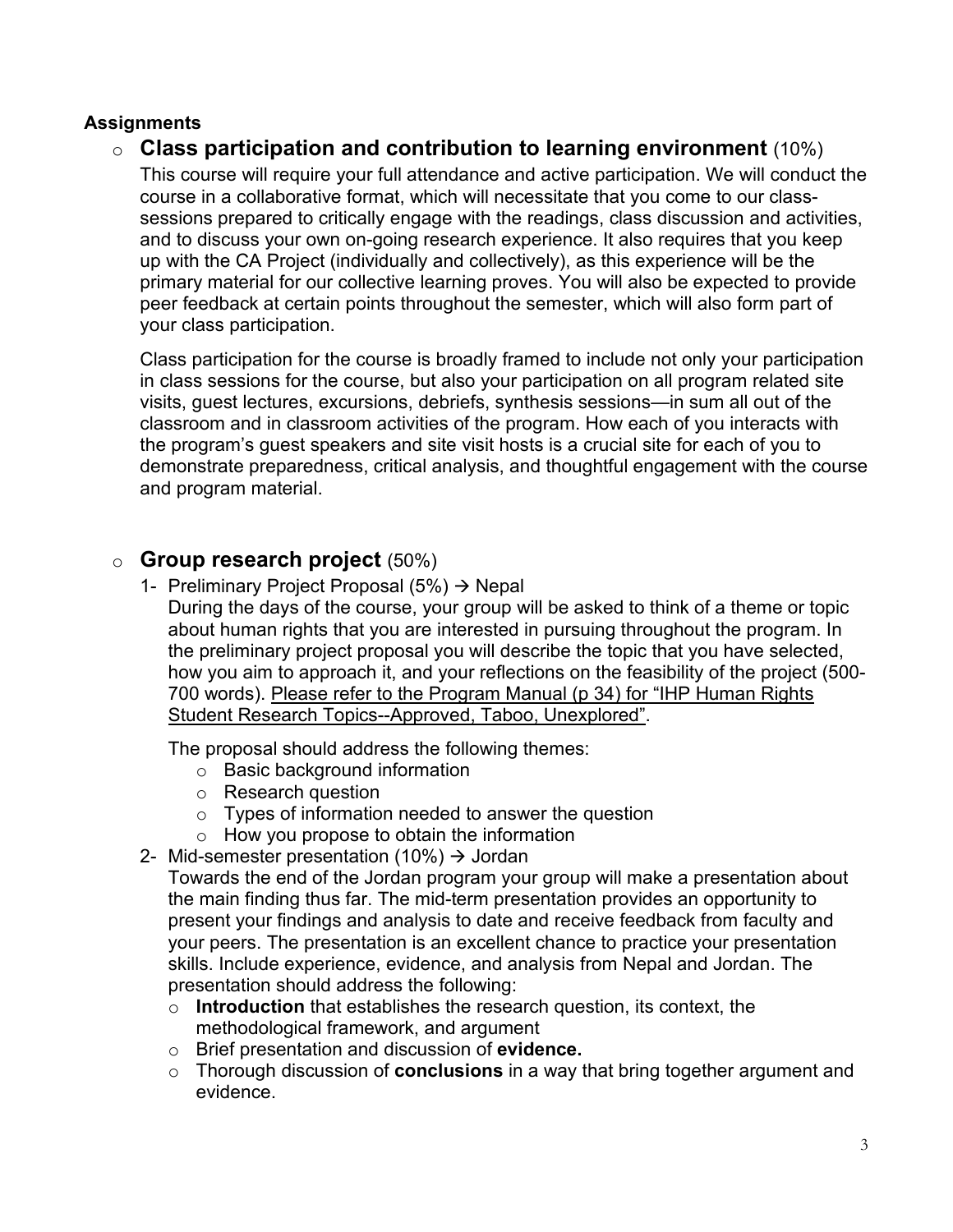# **Assignments**

# o **Class participation and contribution to learning environment** (10%)

This course will require your full attendance and active participation. We will conduct the course in a collaborative format, which will necessitate that you come to our classsessions prepared to critically engage with the readings, class discussion and activities, and to discuss your own on-going research experience. It also requires that you keep up with the CA Project (individually and collectively), as this experience will be the primary material for our collective learning proves. You will also be expected to provide peer feedback at certain points throughout the semester, which will also form part of your class participation.

Class participation for the course is broadly framed to include not only your participation in class sessions for the course, but also your participation on all program related site visits, guest lectures, excursions, debriefs, synthesis sessions—in sum all out of the classroom and in classroom activities of the program. How each of you interacts with the program's guest speakers and site visit hosts is a crucial site for each of you to demonstrate preparedness, critical analysis, and thoughtful engagement with the course and program material.

# o **Group research project** (50%)

1- Preliminary Project Proposal  $(5%) \rightarrow$  Nepal During the days of the course, your group will be asked to think of a theme or topic about human rights that you are interested in pursuing throughout the program. In the preliminary project proposal you will describe the topic that you have selected, how you aim to approach it, and your reflections on the feasibility of the project (500- 700 words). Please refer to the Program Manual (p 34) for "IHP Human Rights Student Research Topics--Approved, Taboo, Unexplored".

The proposal should address the following themes:

- o Basic background information
- o Research question
- $\circ$  Types of information needed to answer the question
- $\circ$  How you propose to obtain the information
- 2- Mid-semester presentation (10%)  $\rightarrow$  Jordan

Towards the end of the Jordan program your group will make a presentation about the main finding thus far. The mid-term presentation provides an opportunity to present your findings and analysis to date and receive feedback from faculty and your peers. The presentation is an excellent chance to practice your presentation skills. Include experience, evidence, and analysis from Nepal and Jordan. The presentation should address the following:

- o **Introduction** that establishes the research question, its context, the methodological framework, and argument
- o Brief presentation and discussion of **evidence.**
- o Thorough discussion of **conclusions** in a way that bring together argument and evidence.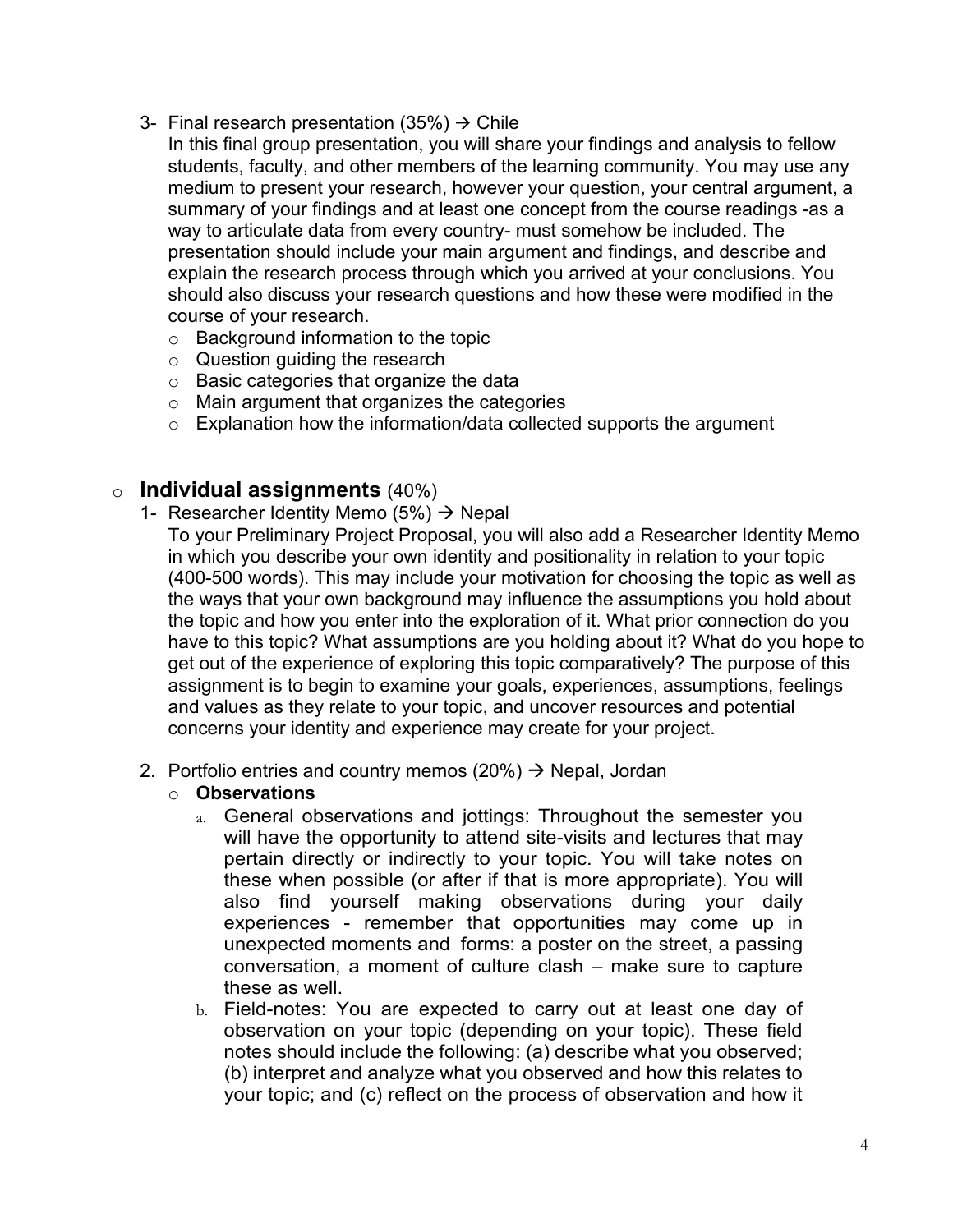- 3- Final research presentation (35%)  $\rightarrow$  Chile
	- In this final group presentation, you will share your findings and analysis to fellow students, faculty, and other members of the learning community. You may use any medium to present your research, however your question, your central argument, a summary of your findings and at least one concept from the course readings -as a way to articulate data from every country- must somehow be included. The presentation should include your main argument and findings, and describe and explain the research process through which you arrived at your conclusions. You should also discuss your research questions and how these were modified in the course of your research.
		- o Background information to the topic
		- o Question guiding the research
		- o Basic categories that organize the data
		- o Main argument that organizes the categories
		- $\circ$  Explanation how the information/data collected supports the argument

# o **Individual assignments** (40%)

- 1- Researcher Identity Memo (5%)  $\rightarrow$  Nepal
	- To your Preliminary Project Proposal, you will also add a Researcher Identity Memo in which you describe your own identity and positionality in relation to your topic (400-500 words). This may include your motivation for choosing the topic as well as the ways that your own background may influence the assumptions you hold about the topic and how you enter into the exploration of it. What prior connection do you have to this topic? What assumptions are you holding about it? What do you hope to get out of the experience of exploring this topic comparatively? The purpose of this assignment is to begin to examine your goals, experiences, assumptions, feelings and values as they relate to your topic, and uncover resources and potential concerns your identity and experience may create for your project.
- 2. Portfolio entries and country memos (20%)  $\rightarrow$  Nepal, Jordan
	- o **Observations**
		- a. General observations and jottings: Throughout the semester you will have the opportunity to attend site-visits and lectures that may pertain directly or indirectly to your topic. You will take notes on these when possible (or after if that is more appropriate). You will also find yourself making observations during your daily experiences - remember that opportunities may come up in unexpected moments and forms: a poster on the street, a passing conversation, a moment of culture clash – make sure to capture these as well.
		- b. Field-notes: You are expected to carry out at least one day of observation on your topic (depending on your topic). These field notes should include the following: (a) describe what you observed; (b) interpret and analyze what you observed and how this relates to your topic; and (c) reflect on the process of observation and how it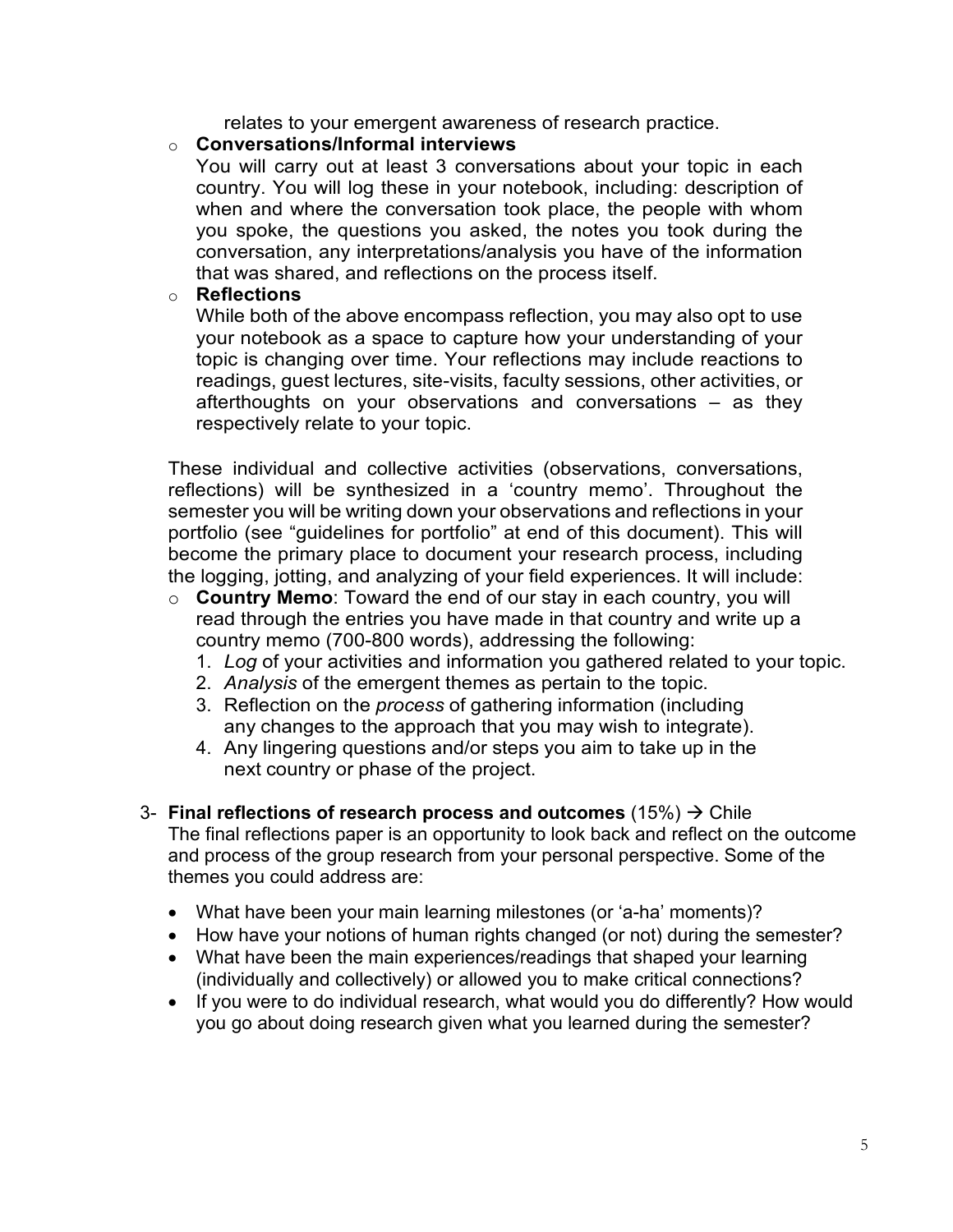relates to your emergent awareness of research practice.

#### o **Conversations/Informal interviews**

You will carry out at least 3 conversations about your topic in each country. You will log these in your notebook, including: description of when and where the conversation took place, the people with whom you spoke, the questions you asked, the notes you took during the conversation, any interpretations/analysis you have of the information that was shared, and reflections on the process itself.

#### o **Reflections**

While both of the above encompass reflection, you may also opt to use your notebook as a space to capture how your understanding of your topic is changing over time. Your reflections may include reactions to readings, guest lectures, site-visits, faculty sessions, other activities, or afterthoughts on your observations and conversations – as they respectively relate to your topic.

These individual and collective activities (observations, conversations, reflections) will be synthesized in a 'country memo'. Throughout the semester you will be writing down your observations and reflections in your portfolio (see "guidelines for portfolio" at end of this document). This will become the primary place to document your research process, including the logging, jotting, and analyzing of your field experiences. It will include:

- o **Country Memo**: Toward the end of our stay in each country, you will read through the entries you have made in that country and write up a country memo (700-800 words), addressing the following:
	- 1. *Log* of your activities and information you gathered related to your topic.
	- 2. *Analysis* of the emergent themes as pertain to the topic.
	- 3. Reflection on the *process* of gathering information (including any changes to the approach that you may wish to integrate).
	- 4. Any lingering questions and/or steps you aim to take up in the next country or phase of the project.
- 3- **Final reflections of research process and outcomes**  $(15%) \rightarrow$  Chile The final reflections paper is an opportunity to look back and reflect on the outcome and process of the group research from your personal perspective. Some of the themes you could address are:
	- What have been your main learning milestones (or 'a-ha' moments)?
	- How have your notions of human rights changed (or not) during the semester?
	- What have been the main experiences/readings that shaped your learning (individually and collectively) or allowed you to make critical connections?
	- If you were to do individual research, what would you do differently? How would you go about doing research given what you learned during the semester?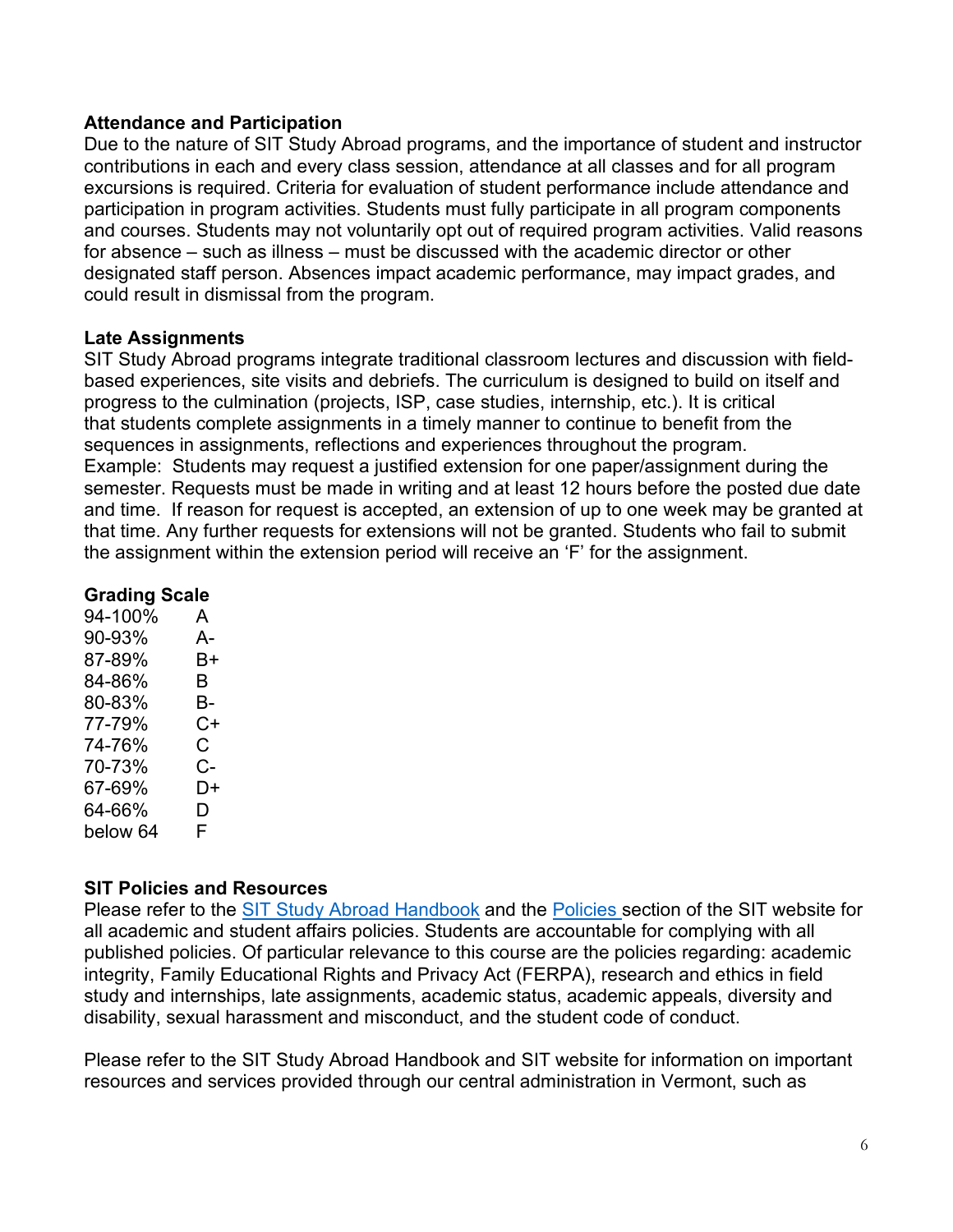#### **Attendance and Participation**

Due to the nature of SIT Study Abroad programs, and the importance of student and instructor contributions in each and every class session, attendance at all classes and for all program excursions is required. Criteria for evaluation of student performance include attendance and participation in program activities. Students must fully participate in all program components and courses. Students may not voluntarily opt out of required program activities. Valid reasons for absence – such as illness – must be discussed with the academic director or other designated staff person. Absences impact academic performance, may impact grades, and could result in dismissal from the program.

### **Late Assignments**

SIT Study Abroad programs integrate traditional classroom lectures and discussion with fieldbased experiences, site visits and debriefs. The curriculum is designed to build on itself and progress to the culmination (projects, ISP, case studies, internship, etc.). It is critical that students complete assignments in a timely manner to continue to benefit from the sequences in assignments, reflections and experiences throughout the program. Example: Students may request a justified extension for one paper/assignment during the semester. Requests must be made in writing and at least 12 hours before the posted due date and time. If reason for request is accepted, an extension of up to one week may be granted at that time. Any further requests for extensions will not be granted. Students who fail to submit the assignment within the extension period will receive an 'F' for the assignment.

# **Grading Scale**

| 94-100%  | A  |
|----------|----|
| 90-93%   | А- |
| 87-89%   | B+ |
| 84-86%   | B  |
| 80-83%   | В- |
| 77-79%   | C+ |
| 74-76%   | C. |
| 70-73%   | C- |
| 67-69%   | D+ |
| 64-66%   | D  |
| below 64 | F  |

# **SIT Policies and Resources**

Please refer to the [SIT Study Abroad Handbook](https://studyabroad.sit.edu/Student-Handbook/) and the [Policies s](https://studyabroad.sit.edu/admitted-students/policies/)ection of the SIT website for all academic and student affairs policies. Students are accountable for complying with all published policies. Of particular relevance to this course are the policies regarding: academic integrity, Family Educational Rights and Privacy Act (FERPA), research and ethics in field study and internships, late assignments, academic status, academic appeals, diversity and disability, sexual harassment and misconduct, and the student code of conduct.

Please refer to the SIT Study Abroad Handbook and SIT website for information on important resources and services provided through our central administration in Vermont, such as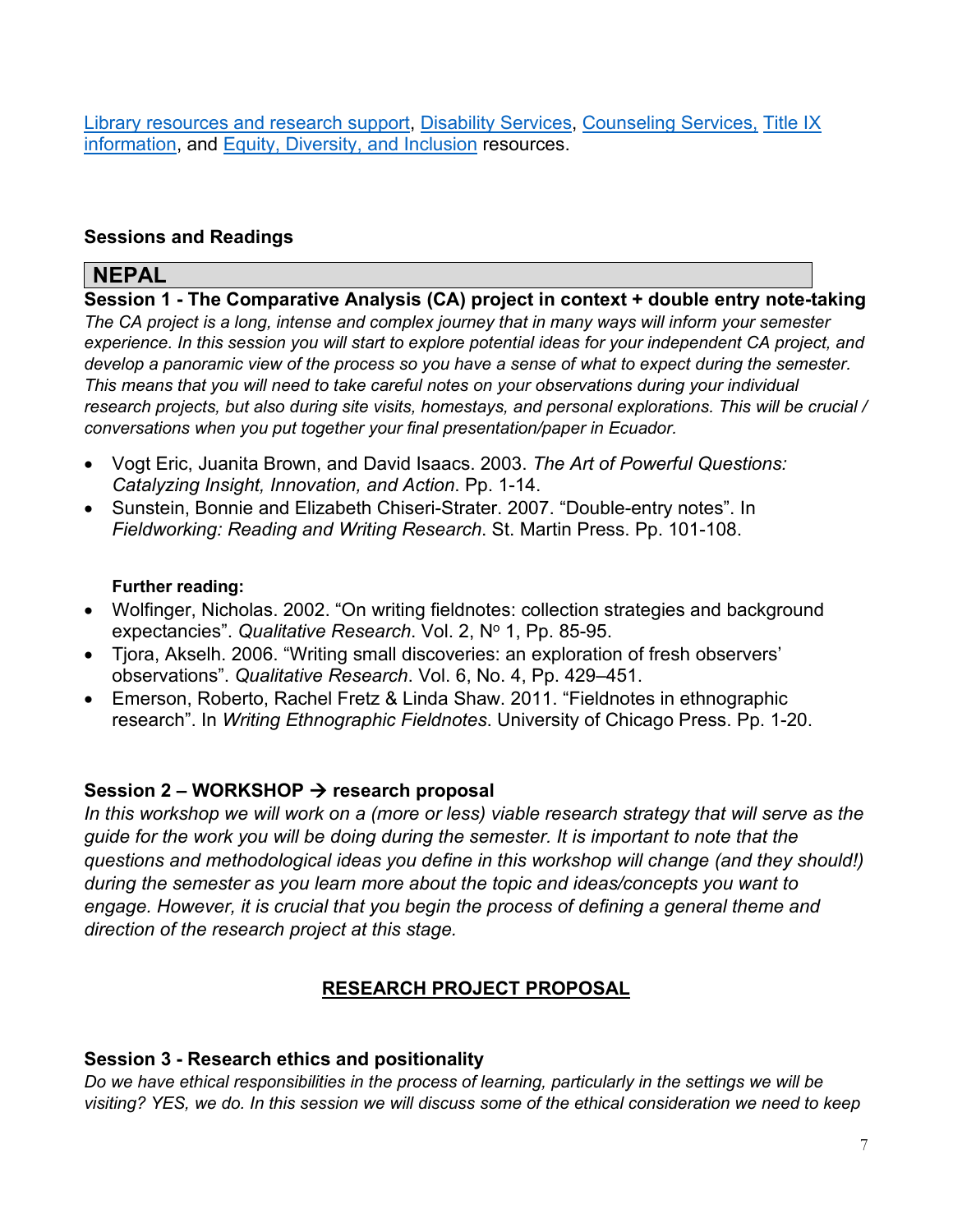[Library resources and research support,](https://studyabroad.sit.edu/admitted-students/student-resources/) [Disability Services,](https://studyabroad.sit.edu/health-safety-and-well-being/disability-services/) [Counseling Services,](https://studyabroad.sit.edu/health-safety-and-well-being/counseling-and-mental-health/) [Title IX](https://studyabroad.sit.edu/health-safety-and-well-being/sexual-safety-title-ix/)  [information,](https://studyabroad.sit.edu/health-safety-and-well-being/sexual-safety-title-ix/) and [Equity, Diversity, and Inclusion](https://studyabroad.sit.edu/health-safety-and-well-being/social-identity/) resources.

# **Sessions and Readings**

# **NEPAL**

**Session 1 - The Comparative Analysis (CA) project in context + double entry note-taking** *The CA project is a long, intense and complex journey that in many ways will inform your semester experience. In this session you will start to explore potential ideas for your independent CA project, and develop a panoramic view of the process so you have a sense of what to expect during the semester. This means that you will need to take careful notes on your observations during your individual research projects, but also during site visits, homestays, and personal explorations. This will be crucial / conversations when you put together your final presentation/paper in Ecuador.* 

- Vogt Eric, Juanita Brown, and David Isaacs. 2003. *The Art of Powerful Questions: Catalyzing Insight, Innovation, and Action*. Pp. 1-14.
- Sunstein, Bonnie and Elizabeth Chiseri-Strater. 2007. "Double-entry notes". In *Fieldworking: Reading and Writing Research*. St. Martin Press. Pp. 101-108.

### **Further reading:**

- Wolfinger, Nicholas. 2002. "On writing fieldnotes: collection strategies and background expectancies". Qualitative Research. Vol. 2, Nº 1, Pp. 85-95.
- Tjora, Akselh. 2006. "Writing small discoveries: an exploration of fresh observers' observations". *Qualitative Research*. Vol. 6, No. 4, Pp. 429–451.
- Emerson, Roberto, Rachel Fretz & Linda Shaw. 2011. "Fieldnotes in ethnographic research". In *Writing Ethnographic Fieldnotes*. University of Chicago Press. Pp. 1-20.

# **Session 2 – WORKSHOP → research proposal**

*In this workshop we will work on a (more or less) viable research strategy that will serve as the guide for the work you will be doing during the semester. It is important to note that the questions and methodological ideas you define in this workshop will change (and they should!) during the semester as you learn more about the topic and ideas/concepts you want to engage. However, it is crucial that you begin the process of defining a general theme and direction of the research project at this stage.* 

# **RESEARCH PROJECT PROPOSAL**

# **Session 3 - Research ethics and positionality**

*Do we have ethical responsibilities in the process of learning, particularly in the settings we will be visiting? YES, we do. In this session we will discuss some of the ethical consideration we need to keep*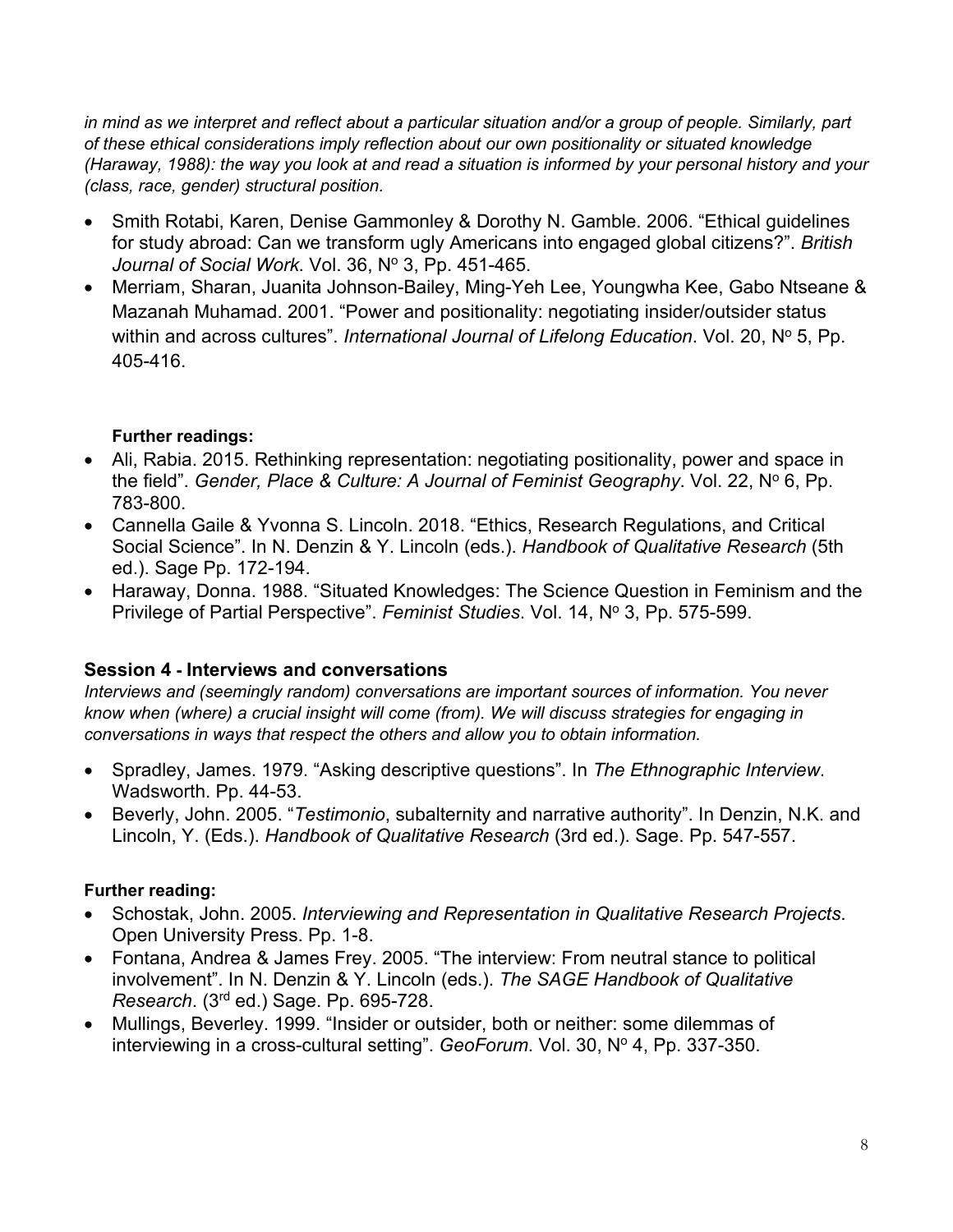*in mind as we interpret and reflect about a particular situation and/or a group of people. Similarly, part of these ethical considerations imply reflection about our own positionality or situated knowledge (Haraway, 1988): the way you look at and read a situation is informed by your personal history and your (class, race, gender) structural position.* 

- Smith Rotabi, Karen, Denise Gammonley & Dorothy N. Gamble. 2006. "Ethical guidelines for study abroad: Can we transform ugly Americans into engaged global citizens?". *British*  Journal of Social Work. Vol. 36, Nº 3, Pp. 451-465.
- Merriam, Sharan, Juanita Johnson-Bailey, Ming-Yeh Lee, Youngwha Kee, Gabo Ntseane & Mazanah Muhamad. 2001. "Power and positionality: negotiating insider/outsider status within and across cultures". *International Journal of Lifelong Education*. Vol. 20, N° 5, Pp. 405-416.

# **Further readings:**

- Ali, Rabia. 2015. Rethinking representation: negotiating positionality, power and space in the field". *Gender, Place & Culture: A Journal of Feminist Geography*. Vol. 22, N° 6, Pp. 783-800.
- Cannella Gaile & Yvonna S. Lincoln. 2018. "Ethics, Research Regulations, and Critical Social Science". In N. Denzin & Y. Lincoln (eds.). *Handbook of Qualitative Research* (5th ed.). Sage Pp. 172-194.
- Haraway, Donna. 1988. "Situated Knowledges: The Science Question in Feminism and the Privilege of Partial Perspective". *Feminist Studies*. Vol. 14, Nº 3, Pp. 575-599.

# **Session 4 - Interviews and conversations**

*Interviews and (seemingly random) conversations are important sources of information. You never know when (where) a crucial insight will come (from). We will discuss strategies for engaging in conversations in ways that respect the others and allow you to obtain information.* 

- Spradley, James. 1979. "Asking descriptive questions". In *The Ethnographic Interview*. Wadsworth. Pp. 44-53.
- Beverly, John. 2005. "*Testimonio*, subalternity and narrative authority". In Denzin, N.K. and Lincoln, Y. (Eds.). *Handbook of Qualitative Research* (3rd ed.). Sage. Pp. 547-557.

#### **Further reading:**

- Schostak, John. 2005. *Interviewing and Representation in Qualitative Research Projects*. Open University Press. Pp. 1-8.
- Fontana, Andrea & James Frey. 2005. "The interview: From neutral stance to political involvement". In N. Denzin & Y. Lincoln (eds.). *The SAGE Handbook of Qualitative Research*. (3rd ed.) Sage. Pp. 695-728.
- Mullings, Beverley. 1999. "Insider or outsider, both or neither: some dilemmas of interviewing in a cross-cultural setting". *GeoForum*. Vol. 30, Nº 4, Pp. 337-350.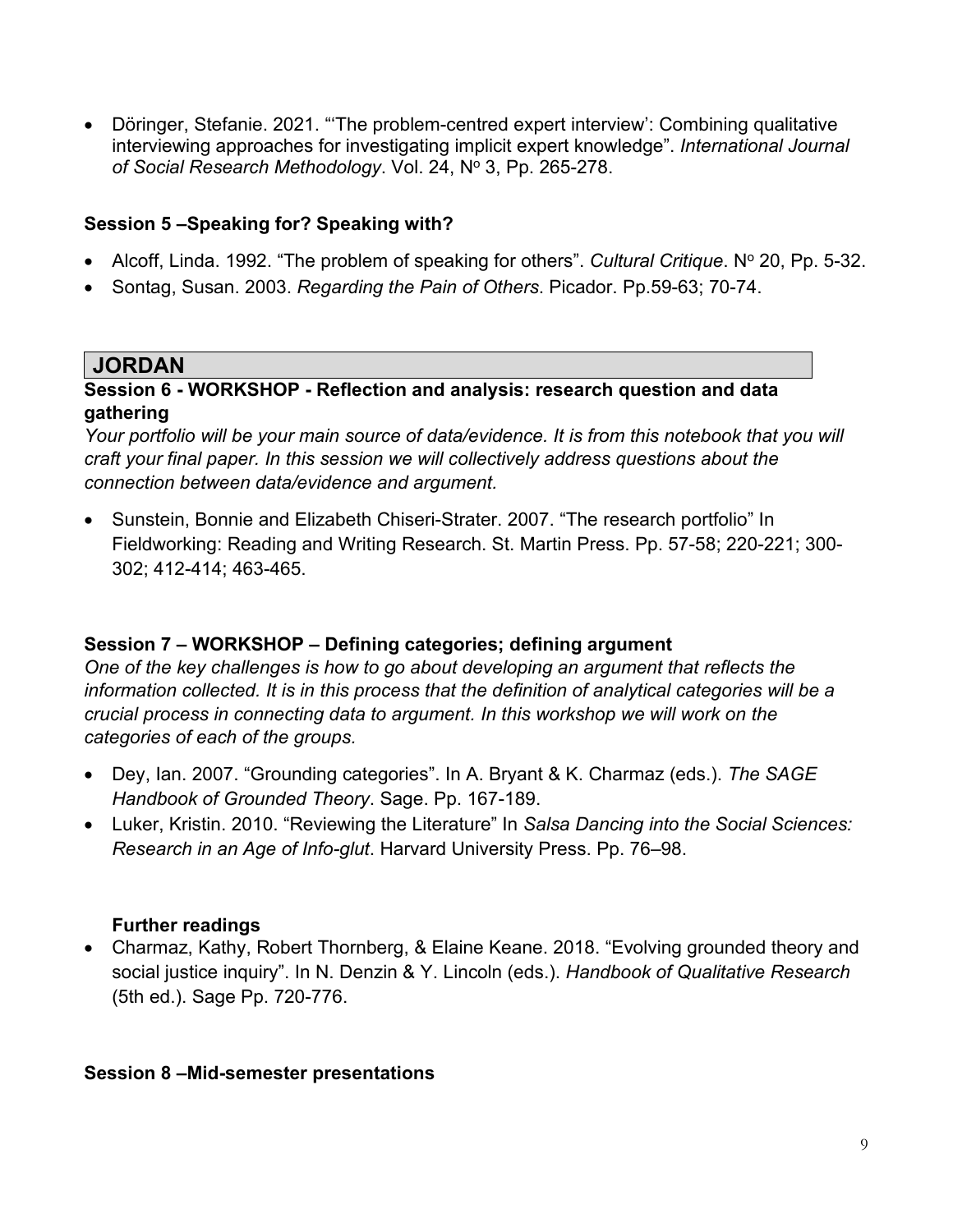• Döringer, Stefanie. 2021. "'The problem-centred expert interview': Combining qualitative interviewing approaches for investigating implicit expert knowledge". *International Journal*  of Social Research Methodology. Vol. 24, Nº 3, Pp. 265-278.

# **Session 5 –Speaking for? Speaking with?**

- Alcoff, Linda. 1992. "The problem of speaking for others". *Cultural Critique*. N° 20, Pp. 5-32.
- Sontag, Susan. 2003. *Regarding the Pain of Others*. Picador. Pp.59-63; 70-74.

# **JORDAN**

### **Session 6 - WORKSHOP - Reflection and analysis: research question and data gathering**

*Your portfolio will be your main source of data/evidence. It is from this notebook that you will craft your final paper. In this session we will collectively address questions about the connection between data/evidence and argument.* 

• Sunstein, Bonnie and Elizabeth Chiseri-Strater. 2007. "The research portfolio" In Fieldworking: Reading and Writing Research. St. Martin Press. Pp. 57-58; 220-221; 300- 302; 412-414; 463-465.

# **Session 7 – WORKSHOP – Defining categories; defining argument**

*One of the key challenges is how to go about developing an argument that reflects the information collected. It is in this process that the definition of analytical categories will be a crucial process in connecting data to argument. In this workshop we will work on the categories of each of the groups.* 

- Dey, Ian. 2007. "Grounding categories". In A. Bryant & K. Charmaz (eds.). *The SAGE Handbook of Grounded Theory*. Sage. Pp. 167-189.
- Luker, Kristin. 2010. "Reviewing the Literature" In *Salsa Dancing into the Social Sciences: Research in an Age of Info-glut*. Harvard University Press. Pp. 76–98.

# **Further readings**

• Charmaz, Kathy, Robert Thornberg, & Elaine Keane. 2018. "Evolving grounded theory and social justice inquiry". In N. Denzin & Y. Lincoln (eds.). *Handbook of Qualitative Research* (5th ed.). Sage Pp. 720-776.

# **Session 8 –Mid-semester presentations**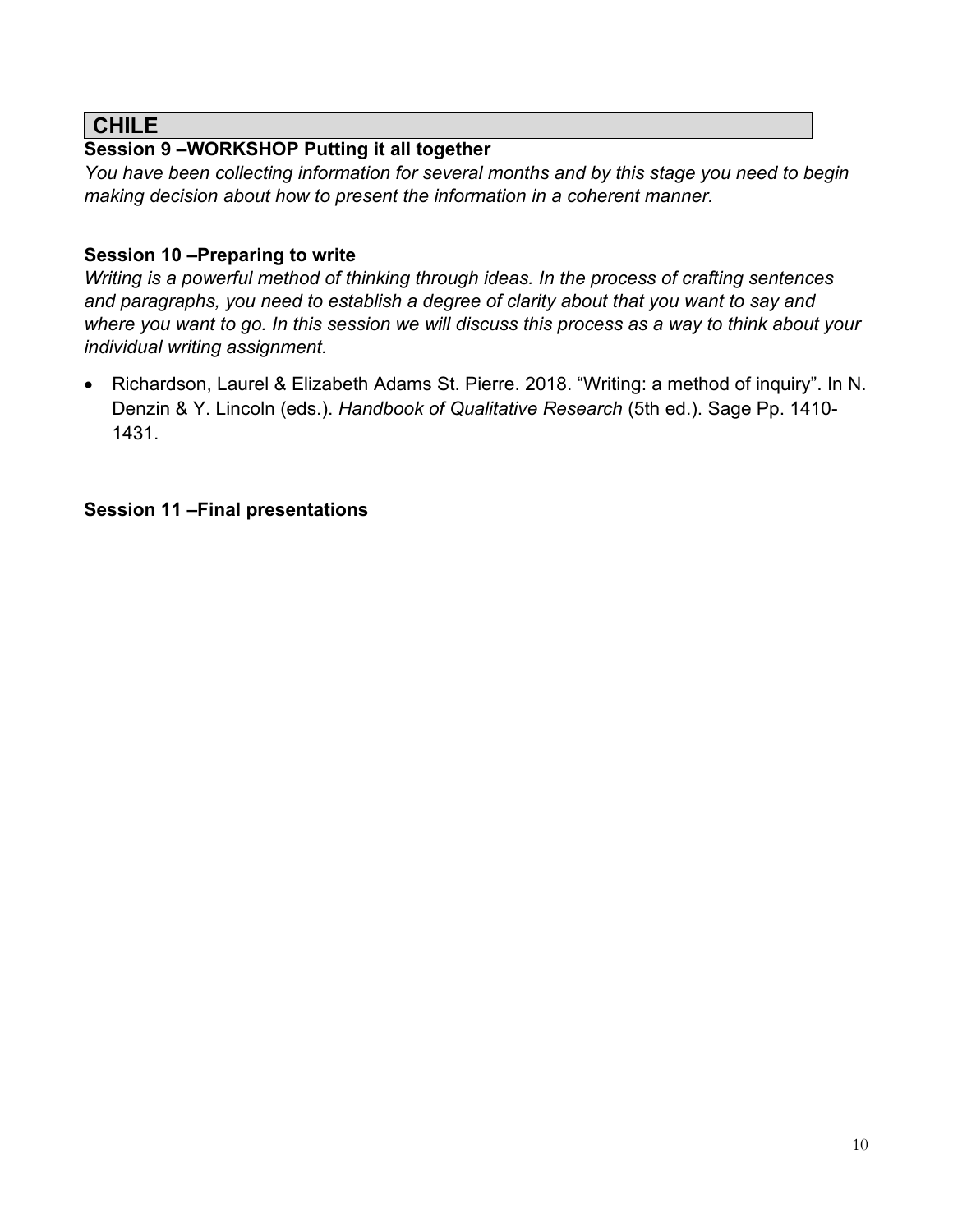# **CHILE**

# **Session 9 –WORKSHOP Putting it all together**

*You have been collecting information for several months and by this stage you need to begin making decision about how to present the information in a coherent manner.* 

# **Session 10 –Preparing to write**

*Writing is a powerful method of thinking through ideas. In the process of crafting sentences and paragraphs, you need to establish a degree of clarity about that you want to say and where you want to go. In this session we will discuss this process as a way to think about your individual writing assignment.* 

• Richardson, Laurel & Elizabeth Adams St. Pierre. 2018. "Writing: a method of inquiry". In N. Denzin & Y. Lincoln (eds.). *Handbook of Qualitative Research* (5th ed.). Sage Pp. 1410- 1431.

# **Session 11 –Final presentations**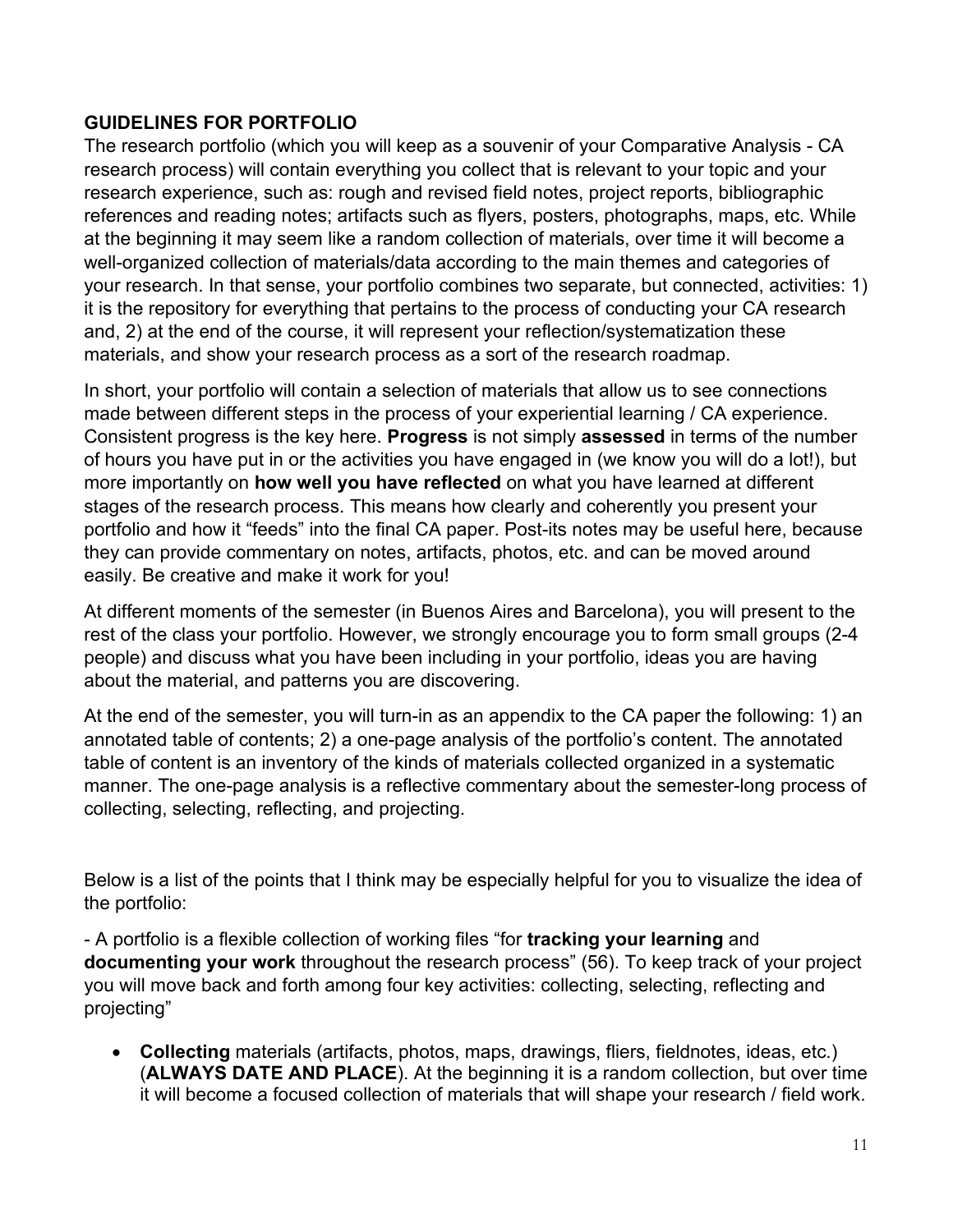# **GUIDELINES FOR PORTFOLIO**

The research portfolio (which you will keep as a souvenir of your Comparative Analysis - CA research process) will contain everything you collect that is relevant to your topic and your research experience, such as: rough and revised field notes, project reports, bibliographic references and reading notes; artifacts such as flyers, posters, photographs, maps, etc. While at the beginning it may seem like a random collection of materials, over time it will become a well-organized collection of materials/data according to the main themes and categories of your research. In that sense, your portfolio combines two separate, but connected, activities: 1) it is the repository for everything that pertains to the process of conducting your CA research and, 2) at the end of the course, it will represent your reflection/systematization these materials, and show your research process as a sort of the research roadmap.

In short, your portfolio will contain a selection of materials that allow us to see connections made between different steps in the process of your experiential learning / CA experience. Consistent progress is the key here. **Progress** is not simply **assessed** in terms of the number of hours you have put in or the activities you have engaged in (we know you will do a lot!), but more importantly on **how well you have reflected** on what you have learned at different stages of the research process. This means how clearly and coherently you present your portfolio and how it "feeds" into the final CA paper. Post-its notes may be useful here, because they can provide commentary on notes, artifacts, photos, etc. and can be moved around easily. Be creative and make it work for you!

At different moments of the semester (in Buenos Aires and Barcelona), you will present to the rest of the class your portfolio. However, we strongly encourage you to form small groups (2-4 people) and discuss what you have been including in your portfolio, ideas you are having about the material, and patterns you are discovering.

At the end of the semester, you will turn-in as an appendix to the CA paper the following: 1) an annotated table of contents; 2) a one-page analysis of the portfolio's content. The annotated table of content is an inventory of the kinds of materials collected organized in a systematic manner. The one-page analysis is a reflective commentary about the semester-long process of collecting, selecting, reflecting, and projecting.

Below is a list of the points that I think may be especially helpful for you to visualize the idea of the portfolio:

- A portfolio is a flexible collection of working files "for **tracking your learning** and **documenting your work** throughout the research process" (56). To keep track of your project you will move back and forth among four key activities: collecting, selecting, reflecting and projecting"

• **Collecting** materials (artifacts, photos, maps, drawings, fliers, fieldnotes, ideas, etc.) (**ALWAYS DATE AND PLACE**). At the beginning it is a random collection, but over time it will become a focused collection of materials that will shape your research / field work.